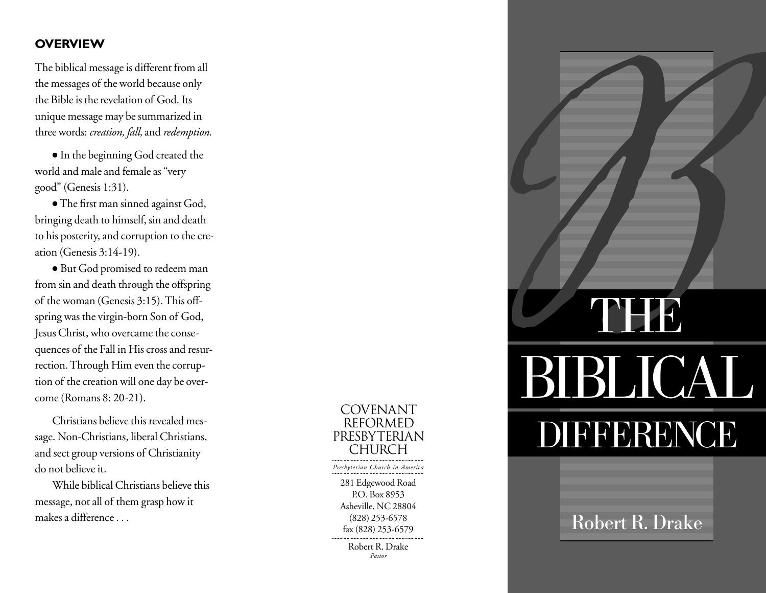# **OVERVIEW**

The biblical message is different from all the messages of the world because only the Bible is the revelation of God. Its unique message may be summarized in three words: *creation, fall,* and *redemption.*

● In the beginning God created the world and male and female as "very good" (Genesis 1:31).

● The first man sinned against God, bringing death to himself, sin and death to his posterity, and corruption to the creation (Genesis 3:14-19).

● But God promised to redeem man from sin and death through the offspring of the woman (Genesis 3:15). This offspring was the virgin-born Son of God, Jesus Christ, who overcame the consequences of the Fall in His cross and resurrection. Through Him even the corruption of the creation will one day be overcome (Romans 8: 20-21).

Christians believe this revealed message. Non-Christians, liberal Christians, and sect group versions of Christianity do not believe it.

While biblical Christians believe this message, not all of them grasp how it makes a difference . . .

281 Edgewood Road P.O. Box 8953 Asheville, NC 28804 (828) 253-6578 fax (828) 253-6579 Robert R. Drake COVENANT REFORMED PRESBYTERIAN CHURCH *Presbyterian Church in America*

*Pastor*

**CONTRESSERVENCES** BIBLICAL DIFFERENCE

Robert R. Drake